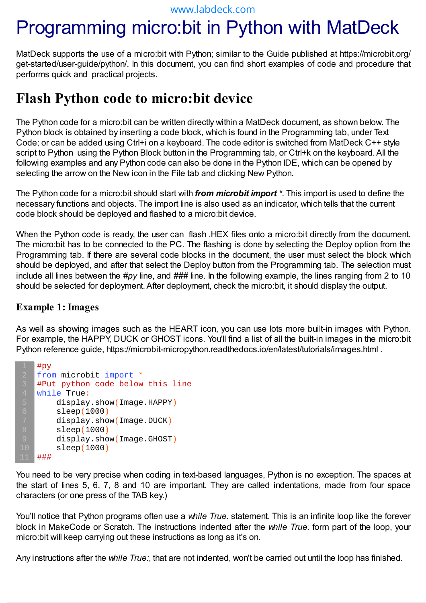# Programming micro:bit in Python with MatDeck

MatDeck supports the use of a micro:bit with Python; similar to the Guide published at https://microbit.org/ get-started/user-guide/python/. In this document, you can find short examples of code and procedure that performs quick and practical projects.

### **Flash Python code to micro:bit device**

The Python code for a micro:bit can be written directly within a MatDeck document, as shown below. The Python block is obtained by inserting a code block, which is found in the Programming tab, under Text Code; or can be added using Ctrl+i on a keyboard. The code editor is switched from MatDeck C++ style script to Python using the Python Block button in the Programming tab, or Ctrl+k on the keyboard. All the following examples and any Python code can also be done in the Python IDE, which can be opened by selecting the arrow on the New icon in the File tab and clicking New Python.

The Python code for a micro:bit should start with *from microbit import \**. This import is used to define the necessary functions and objects. The import line is also used as an indicator, which tells that the current code block should be deployed and flashed to a micro:bit device.

When the Python code is ready, the user can flash .HEX files onto a micro:bit directly from the document. The micro:bit has to be connected to the PC. The flashing is done by selecting the Deploy option from the Programming tab. If there are several code blocks in the document, the user must select the block which should be deployed, and after that select the Deploy button from the Programming tab. The selection must include all lines between the #py line, and ### line. In the following example, the lines ranging from 2 to 10 should be selected for deployment. After deployment, check the micro:bit, it should display the output.

#### **Example 1: Images**

As well as showing images such as the HEART icon, you can use lots more built-in images with Python. For example, the HAPPY, DUCK or GHOST icons. You'll find a list of all the built-in images in the micro:bit Python reference guide, https://microbit-micropython.readthedocs.io/en/latest/tutorials/images.html .

```
#py
from microbit import *
#Put python code below this line
while True:
     display.show(Image.HAPPY)
     sleep(1000)
     display.show(Image.DUCK)
     sleep(1000)
     display.show(Image.GHOST)
     sleep(1000)
###
```
You need to be very precise when coding in text-based languages, Python is no exception. The spaces at the start of lines 5, 6, 7, 8 and 10 are important. They are called indentations, made from four space characters (or one press of the TAB key.)

You'll notice that Python programs often use a *while True:* statement. This is an infinite loop like the forever block in MakeCode or Scratch. The instructions indented after the *while True:* form part of the loop, your micro:bit will keep carrying out these instructions as long as it's on.

Any instructions after the *while True:*, that are not indented, won't be carried out until the loop has finished.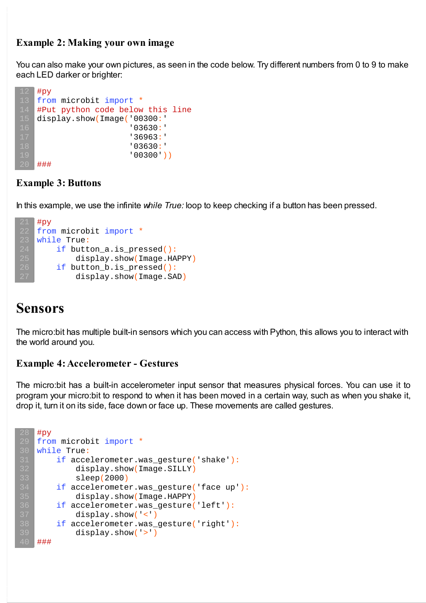#### **Example 2: Making your own image**

You can also make your own pictures, as seen in the code below. Try different numbers from 0 to 9 to make each LED darker or brighter:

```
#py
from microbit import *
#Put python code below this line
display.show(Image('00300:'
                    '03630:'
                    '36963:'
                    '03630:'
                    '00300'))
###
```
#### **Example 3: Buttons**

In this example, we use the infinite *while True:* loop to keep checking if a button has been pressed.

```
#py
from microbit import *
while True:
    if button a.is pressed():
        display.show(Image.HAPPY)
    if button_b.is_pressed():
        display.show(Image.SAD)
```
### **Sensors**

The micro:bit has multiple built-in sensors which you can access with Python, this allows you to interact with the world around you.

#### **Example 4:Accelerometer - Gestures**

The micro:bit has a built-in accelerometer input sensor that measures physical forces. You can use it to program your micro:bit to respond to when it has been moved in a certain way, such as when you shake it, drop it, turn it on its side, face down or face up. These movements are called gestures.

```
#py
from microbit import *
while True:
    if accelerometer.was gesture('shake'):
        display.show(Image.SILLY)
        sleep(2000)
    if accelerometer.was_gesture('face up'):
        display.show(Image.HAPPY)
    if accelerometer.was_gesture('left'):
        display.show('<')
    if accelerometer.was_gesture('right'):
        display.show('>')
###
```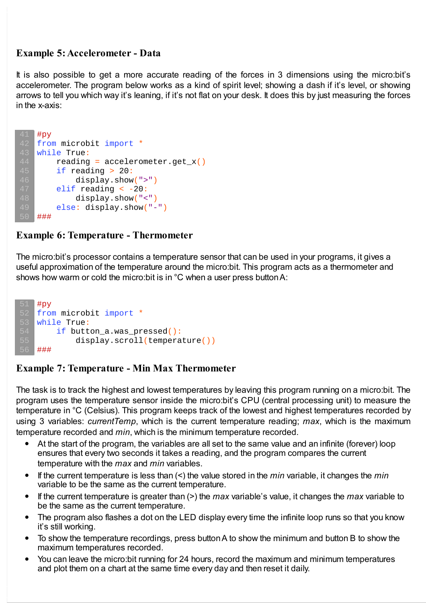#### **Example 5:Accelerometer - Data**

It is also possible to get a more accurate reading of the forces in 3 dimensions using the micro:bit's accelerometer. The program below works as a kind of spirit level; showing a dash if it's level, or showing arrows to tell you which way it's leaning, if it's not flat on your desk. It does this by just measuring the forces in the x-axis:

```
#py
from microbit import *
while True:
    reading = accelerometer.get x()if reading > 20:
        display.show(">")
    elif reading < -20:
        display.show("<")
    else: display.show("-")
###
```
#### **Example 6: Temperature - Thermometer**

The micro:bit's processor contains a temperature sensor that can be used in your programs, it gives a useful approximation of the temperature around the micro:bit. This program acts as a thermometer and shows how warm or cold the micro:bit is in °C when a user press buttonA:



#### **Example 7: Temperature - Min Max Thermometer**

The task is to track the highest and lowest temperatures by leaving this program running on a micro:bit. The program uses the temperature sensor inside the micro:bit's CPU (central processing unit) to measure the temperature in °C (Celsius). This program keeps track of the lowest and highest temperatures recorded by using 3 variables: *currentTemp*, which is the current temperature reading; *max*, which is the maximum temperature recorded and *min*, which is the minimum temperature recorded.

- $\bullet$ At the start of the program, the variables are all set to the same value and an infinite (forever) loop ensures that every two seconds it takes a reading, and the program compares the current temperature with the *max* and *min* variables.
- If the current temperature is less than (<) the value stored in the *min* variable, it changes the *min*  $\bullet$ variable to be the same as the current temperature.
- If the current temperature is greater than (>) the *max* variable's value, it changes the *max* variable to be the same as the current temperature.
- The program also flashes a dot on the LED display every time the infinite loop runs so that you know  $\bullet$ it's still working.
- To show the temperature recordings, press buttonA to show the minimum and button B to show the maximum temperatures recorded.
- $\bullet$ You can leave the micro:bit running for 24 hours, record the maximum and minimum temperatures and plot them on a chart at the same time every day and then reset it daily.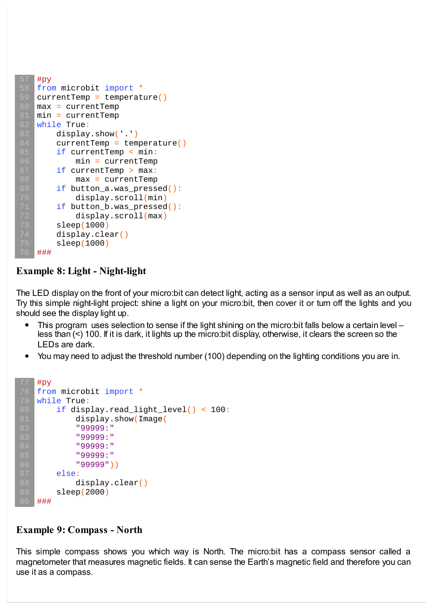```
#py
from microbit import *
currentTemp = temperature()max = currentTemp
min = currentTempwhile True:
    display.show('.')
    currentTemp = temperature()if currentTemp < min:
        min = currentTempif currentTemp > max:
        max = currentTempif button a.was pressed():
        display.scroll(min)
    if button_b.was_pressed():
        display.scroll(max)
    sleep(1000)
    display.clear()
    sleep(1000)
###
```
#### **Example 8: Light - Night-light**

The LED display on the front of your micro:bit can detect light, acting as a sensor input as well as an output. Try this simple night-light project: shine a light on your micro:bit, then cover it or turn off the lights and you should see the display light up.

- This program uses selection to sense if the light shining on the micro:bit falls below a certain level  $\bullet$ less than (<) 100. If it is dark, it lights up the micro:bit display, otherwise, it clears the screen so the LEDs are dark.
- $\bullet$ You may need to adjust the threshold number (100) depending on the lighting conditions you are in.

```
#py
from microbit import *
while True:
    if display.read_light_level() < 100:
        display.show(Image(
        "99999:"
        "99999:"
        "99999:"
        "99999:"
        "99999"))
    else:
        display.clear()
    sleep(2000)
###
```
#### **Example 9: Compass - North**

This simple compass shows you which way is North. The micro:bit has a compass sensor called a magnetometer that measures magnetic fields. It can sense the Earth's magnetic field and therefore you can use it as a compass.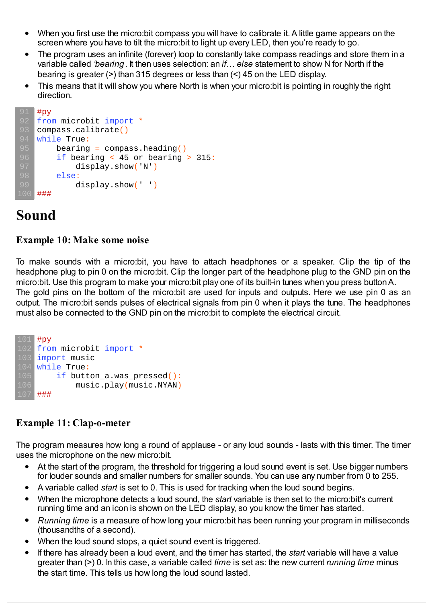- When you first use the micro:bit compass you will have to calibrate it.A little game appears on the  $\bullet$ screen where you have to tilt the micro:bit to light up every LED, then you're ready to go.
- The program uses an infinite (forever) loop to constantly take compass readings and store them in a variable called *'bearing*. It then uses selection: an *if...* else statement to show N for North if the bearing is greater (>) than 315 degrees or less than (<) 45 on the LED display.
- This means that it will show you where North is when your micro:bit is pointing in roughly the right  $\bullet$ direction.

```
#py
from microbit import *
compass.calibrate()
while True:
    bearing = compass.heading()if bearing < 45 or bearing > 315:
        display.show('N')
    else:
        display.show(' ')
###
```
## **Sound**

#### **Example 10: Make some noise**

To make sounds with a micro:bit, you have to attach headphones or a speaker. Clip the tip of the headphone plug to pin 0 on the micro:bit. Clip the longer part of the headphone plug to the GND pin on the micro:bit. Use this program to make your micro:bit play one of its built-in tunes when you press buttonA. The gold pins on the bottom of the micro:bit are used for inputs and outputs. Here we use pin 0 as an

output. The micro:bit sends pulses of electrical signals from pin 0 when it plays the tune. The headphones must also be connected to the GND pin on the micro:bit to complete the electrical circuit.

```
#py
   from microbit import *
   import music
   while True:
       if button_a.was_pressed():
            music.play(music.NYAN)
   ###
105
106
```
#### **Example 11: Clap-o-meter**

The program measures how long a round of applause - or any loud sounds - lasts with this timer. The timer uses the microphone on the new micro:bit.

- At the start of the program, the threshold for triggering a loud sound event is set. Use bigger numbers  $\bullet$ for louder sounds and smaller numbers for smaller sounds. You can use any number from 0 to 255.
- A variable called *start* is set to 0. This is used for tracking when the loud sound begins.  $\bullet$
- When the microphone detects a loud sound, the *start* variable is then set to the micro:bit's current  $\bullet$ running time and an icon is shown on the LED display, so you know the timer has started.
- *Running time* is a measure of how long your micro:bit has been running your program in milliseconds  $\bullet$ (thousandths of a second).
- When the loud sound stops, a quiet sound event is triggered.  $\bullet$
- If there has already been a loud event, and the timer has started, the *start* variable will have a value greater than (>) 0. In this case, a variable called *time* is set as: the new current *running time* minus the start time. This tells us how long the loud sound lasted.